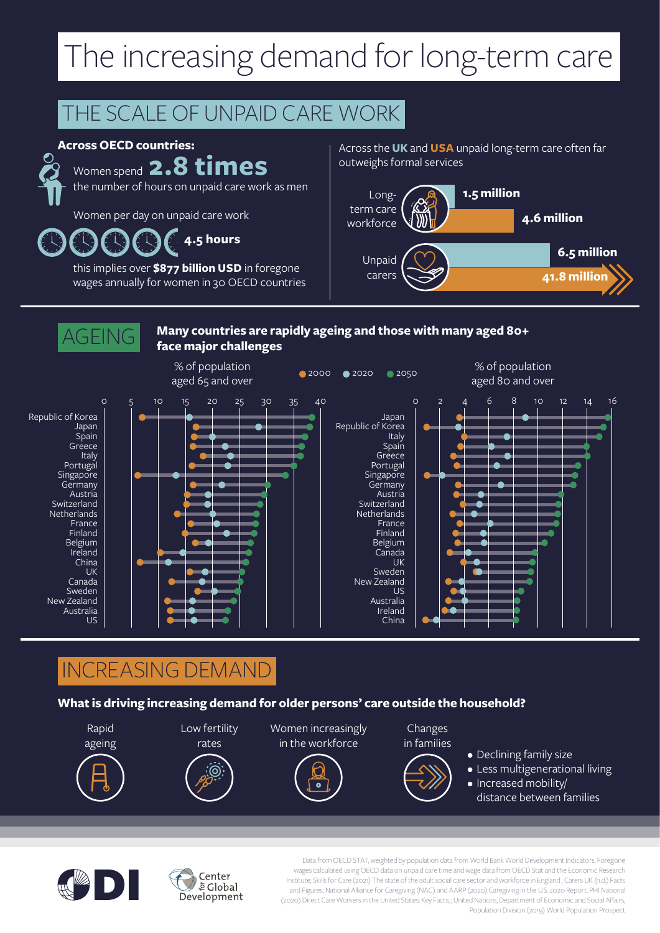## The increasing demand for long-term care

## THE SCALE OF UNPAID CARE WORK

#### **Across OECD countries:**



### Women spend **2.8 times**

the number of hours on unpaid care work as men

Women per day on unpaid care work

**4.5 hours**

this implies over **\$877 billion USD** in foregone wages annually for women in 30 OECD countries Across the **UK** and **USA** unpaid long-term care often far outweighs formal services





**Many countries are rapidly ageing and those with many aged 80+** 

### INCREASING DEMAND

Center  $\frac{1}{2}$ Global Development

#### **What is driving increasing demand for older persons' care outside the household?**





Data from OECD STAT, weighted by population data from World Bank World Development Indicators; Foregone wages calculated using OECD data on unpaid care time and wage data from OECD Stat and the Economic Research Institute; Skills for Care (2021) The state of the adult social care sector and workforce in England ; Carers UK (n.d.) Facts and Figures; National Alliance for Caregiving (NAC) and AARP (2020) Caregiving in the U.S. 2020 Report; PHI National (2020) Direct Care Workers in the United States: Key Facts; ; United Nations, Department of Economic and Social Affairs, Population Division (2019) World Population Prospect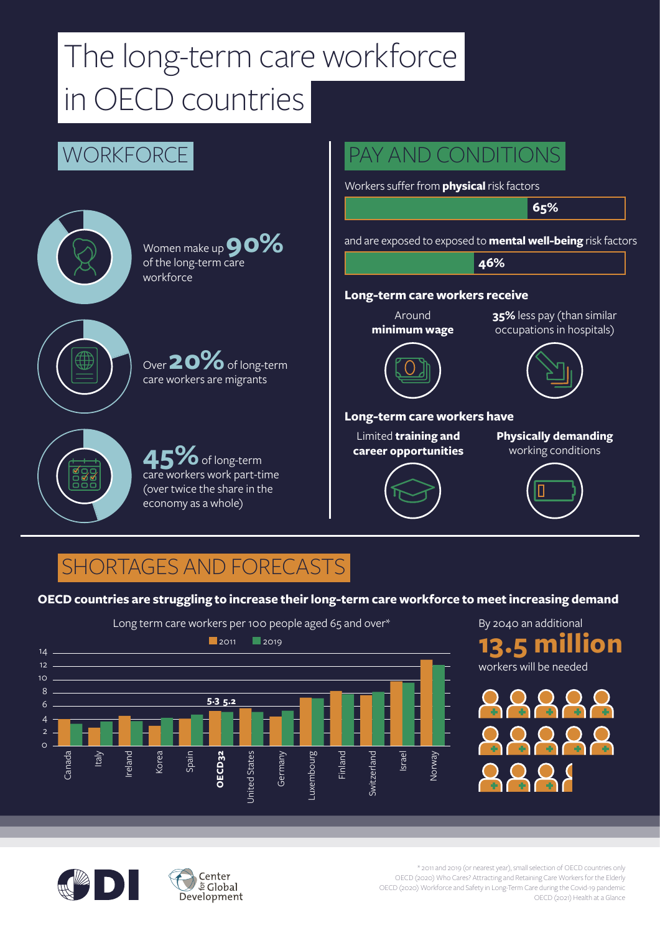# The long-term care workforce in OECD countries



### SHORTAGES AND FORECASTS

#### **OECD countries are struggling to increase their long-term care workforce to meet increasing demand**



By 2040 an additional workers will be needed **13.5 million**





\* 2011 and 2019 (or nearest year), small selection of OECD countries only OECD (2020) Who Cares? Attracting and Retaining Care Workers for the Elderly OECD (2020) Workforce and Safety in Long-Term Care during the Covid-19 pandemic OECD (2021) Health at a Glance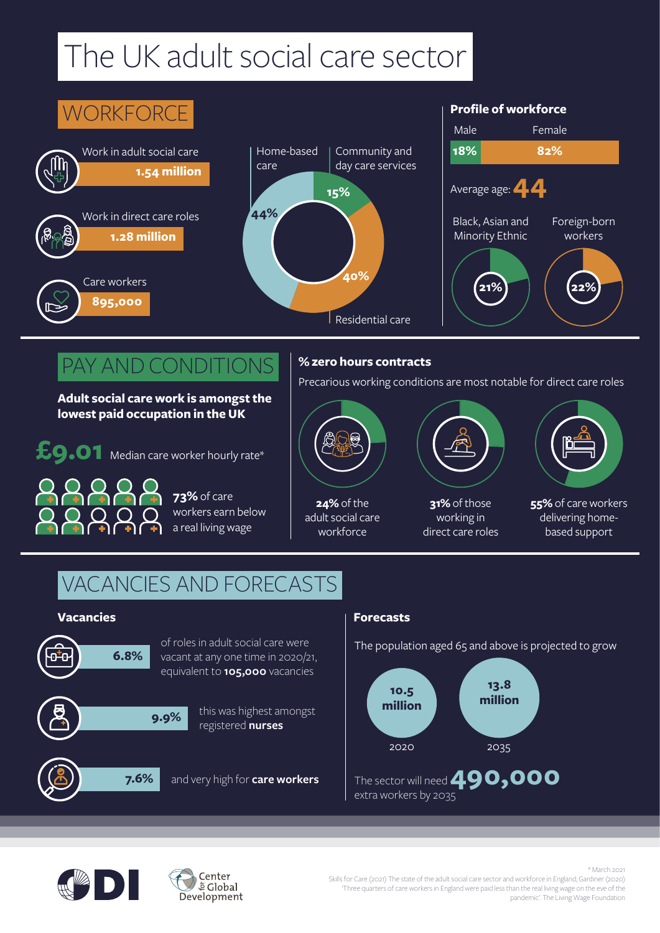## The UK adult social care sector

#### **18% 82%** Community and day care services Black, Asian and Minority Ethnic Foreign-born workers Male Female Average age: **44 Profile of workforce** Home-based care Residential care **WORKFORCE 1.54 million** Work in adult social care **895,000** Care workers **1.28 million** Work in direct care roles **15% 44% 40% 21% 22%**

### PAY AND CONDITIONS

**Adult social care work is amongst the lowest paid occupation in the UK** 



**73%** of care workers earn below a real living wage

### **% zero hours contracts**

Precarious working conditions are most notable for direct care roles



**24%** of the adult social care workforce



**31%** of those working in direct care roles



**55%** of care workers delivering homebased support

### VACANCIES AND FORECASTS

#### **Vacancies Forecasts**



of roles in adult social care were vacant at any one time in 2020/21, equivalent to **105,000** vacancies



this was highest amongst registered **nurses**

**7.6%** and very high for **care workers** 

Center  $\frac{1}{2}$ Global

The population aged 65 and above is projected to grow





\* March 2021 Skills for Care (2021) The state of the adult social care sector and workforce in England; Gardiner (2020) 'Three quarters of care workers in England were paid less than the real living wage on the eve of the pandemic'. The Living Wage Foundation